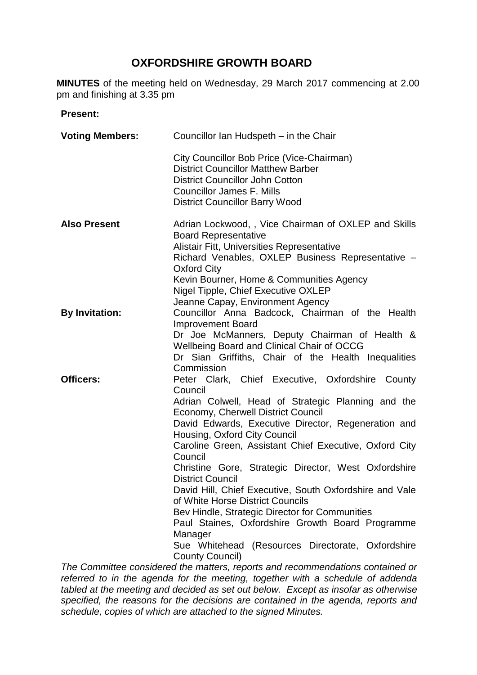# **OXFORDSHIRE GROWTH BOARD**

**MINUTES** of the meeting held on Wednesday, 29 March 2017 commencing at 2.00 pm and finishing at 3.35 pm

#### **Present:**

| <b>Voting Members:</b> | Councillor Ian Hudspeth – in the Chair                                                                                                                                                                                                                                                                                                                                                                                                                                                                                                                                                                                                                                                                |
|------------------------|-------------------------------------------------------------------------------------------------------------------------------------------------------------------------------------------------------------------------------------------------------------------------------------------------------------------------------------------------------------------------------------------------------------------------------------------------------------------------------------------------------------------------------------------------------------------------------------------------------------------------------------------------------------------------------------------------------|
|                        | City Councillor Bob Price (Vice-Chairman)<br><b>District Councillor Matthew Barber</b><br><b>District Councillor John Cotton</b><br><b>Councillor James F. Mills</b><br><b>District Councillor Barry Wood</b>                                                                                                                                                                                                                                                                                                                                                                                                                                                                                         |
| <b>Also Present</b>    | Adrian Lockwood,, Vice Chairman of OXLEP and Skills<br><b>Board Representative</b><br>Alistair Fitt, Universities Representative<br>Richard Venables, OXLEP Business Representative -<br><b>Oxford City</b><br>Kevin Bourner, Home & Communities Agency<br>Nigel Tipple, Chief Executive OXLEP<br>Jeanne Capay, Environment Agency                                                                                                                                                                                                                                                                                                                                                                    |
| <b>By Invitation:</b>  | Councillor Anna Badcock, Chairman of the Health<br>Improvement Board<br>Dr Joe McManners, Deputy Chairman of Health &<br>Wellbeing Board and Clinical Chair of OCCG<br>Dr Sian Griffiths, Chair of the Health Inequalities<br>Commission                                                                                                                                                                                                                                                                                                                                                                                                                                                              |
| <b>Officers:</b>       | Peter Clark, Chief Executive, Oxfordshire County<br>Council<br>Adrian Colwell, Head of Strategic Planning and the<br><b>Economy, Cherwell District Council</b><br>David Edwards, Executive Director, Regeneration and<br>Housing, Oxford City Council<br>Caroline Green, Assistant Chief Executive, Oxford City<br>Council<br>Christine Gore, Strategic Director, West Oxfordshire<br><b>District Council</b><br>David Hill, Chief Executive, South Oxfordshire and Vale<br>of White Horse District Councils<br>Bev Hindle, Strategic Director for Communities<br>Paul Staines, Oxfordshire Growth Board Programme<br>Manager<br>Sue Whitehead (Resources Directorate, Oxfordshire<br>County Council) |
|                        | The Committee considered the metters, reports and recommendations contained or                                                                                                                                                                                                                                                                                                                                                                                                                                                                                                                                                                                                                        |

*The Committee considered the matters, reports and recommendations contained or referred to in the agenda for the meeting, together with a schedule of addenda tabled at the meeting and decided as set out below. Except as insofar as otherwise specified, the reasons for the decisions are contained in the agenda, reports and schedule, copies of which are attached to the signed Minutes.*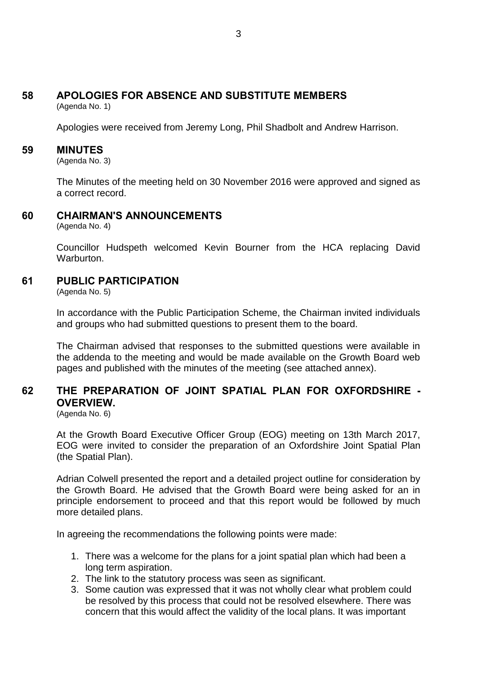# **58 APOLOGIES FOR ABSENCE AND SUBSTITUTE MEMBERS**

(Agenda No. 1)

Apologies were received from Jeremy Long, Phil Shadbolt and Andrew Harrison.

#### **59 MINUTES**

(Agenda No. 3)

The Minutes of the meeting held on 30 November 2016 were approved and signed as a correct record.

## **60 CHAIRMAN'S ANNOUNCEMENTS**

(Agenda No. 4)

Councillor Hudspeth welcomed Kevin Bourner from the HCA replacing David Warburton.

## **61 PUBLIC PARTICIPATION**

(Agenda No. 5)

In accordance with the Public Participation Scheme, the Chairman invited individuals and groups who had submitted questions to present them to the board.

The Chairman advised that responses to the submitted questions were available in the addenda to the meeting and would be made available on the Growth Board web pages and published with the minutes of the meeting (see attached annex).

## **62 THE PREPARATION OF JOINT SPATIAL PLAN FOR OXFORDSHIRE - OVERVIEW.**

(Agenda No. 6)

At the Growth Board Executive Officer Group (EOG) meeting on 13th March 2017, EOG were invited to consider the preparation of an Oxfordshire Joint Spatial Plan (the Spatial Plan).

Adrian Colwell presented the report and a detailed project outline for consideration by the Growth Board. He advised that the Growth Board were being asked for an in principle endorsement to proceed and that this report would be followed by much more detailed plans.

In agreeing the recommendations the following points were made:

- 1. There was a welcome for the plans for a joint spatial plan which had been a long term aspiration.
- 2. The link to the statutory process was seen as significant.
- 3. Some caution was expressed that it was not wholly clear what problem could be resolved by this process that could not be resolved elsewhere. There was concern that this would affect the validity of the local plans. It was important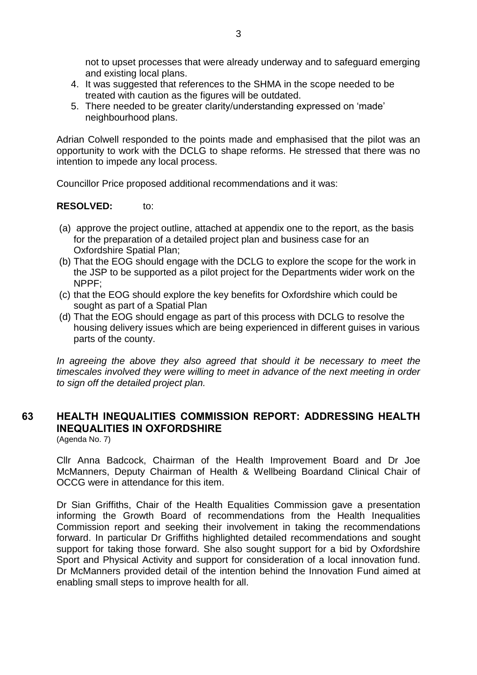not to upset processes that were already underway and to safeguard emerging and existing local plans.

- 4. It was suggested that references to the SHMA in the scope needed to be treated with caution as the figures will be outdated.
- 5. There needed to be greater clarity/understanding expressed on 'made' neighbourhood plans.

Adrian Colwell responded to the points made and emphasised that the pilot was an opportunity to work with the DCLG to shape reforms. He stressed that there was no intention to impede any local process.

Councillor Price proposed additional recommendations and it was:

#### **RESOLVED:** to:

- (a) approve the project outline, attached at appendix one to the report, as the basis for the preparation of a detailed project plan and business case for an Oxfordshire Spatial Plan;
- (b) That the EOG should engage with the DCLG to explore the scope for the work in the JSP to be supported as a pilot project for the Departments wider work on the NPPF;
- (c) that the EOG should explore the key benefits for Oxfordshire which could be sought as part of a Spatial Plan
- (d) That the EOG should engage as part of this process with DCLG to resolve the housing delivery issues which are being experienced in different guises in various parts of the county.

In agreeing the above they also agreed that should it be necessary to meet the *timescales involved they were willing to meet in advance of the next meeting in order to sign off the detailed project plan.*

## **63 HEALTH INEQUALITIES COMMISSION REPORT: ADDRESSING HEALTH INEQUALITIES IN OXFORDSHIRE**

(Agenda No. 7)

Cllr Anna Badcock, Chairman of the Health Improvement Board and Dr Joe McManners, Deputy Chairman of Health & Wellbeing Boardand Clinical Chair of OCCG were in attendance for this item.

Dr Sian Griffiths, Chair of the Health Equalities Commission gave a presentation informing the Growth Board of recommendations from the Health Inequalities Commission report and seeking their involvement in taking the recommendations forward. In particular Dr Griffiths highlighted detailed recommendations and sought support for taking those forward. She also sought support for a bid by Oxfordshire Sport and Physical Activity and support for consideration of a local innovation fund. Dr McManners provided detail of the intention behind the Innovation Fund aimed at enabling small steps to improve health for all.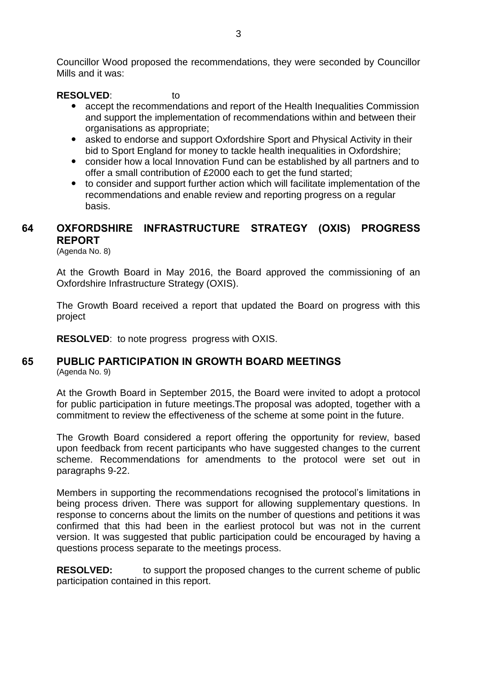Councillor Wood proposed the recommendations, they were seconded by Councillor Mills and it was:

#### **RESOLVED**: to

- accept the recommendations and report of the Health Inequalities Commission and support the implementation of recommendations within and between their organisations as appropriate;
- asked to endorse and support Oxfordshire Sport and Physical Activity in their bid to Sport England for money to tackle health inequalities in Oxfordshire;
- consider how a local Innovation Fund can be established by all partners and to offer a small contribution of £2000 each to get the fund started;
- to consider and support further action which will facilitate implementation of the recommendations and enable review and reporting progress on a regular basis.

## **64 OXFORDSHIRE INFRASTRUCTURE STRATEGY (OXIS) PROGRESS REPORT**

(Agenda No. 8)

At the Growth Board in May 2016, the Board approved the commissioning of an Oxfordshire Infrastructure Strategy (OXIS).

The Growth Board received a report that updated the Board on progress with this project

**RESOLVED**: to note progress progress with OXIS.

#### **65 PUBLIC PARTICIPATION IN GROWTH BOARD MEETINGS** (Agenda No. 9)

At the Growth Board in September 2015, the Board were invited to adopt a protocol for public participation in future meetings.The proposal was adopted, together with a commitment to review the effectiveness of the scheme at some point in the future.

The Growth Board considered a report offering the opportunity for review, based upon feedback from recent participants who have suggested changes to the current scheme. Recommendations for amendments to the protocol were set out in paragraphs 9-22.

Members in supporting the recommendations recognised the protocol's limitations in being process driven. There was support for allowing supplementary questions. In response to concerns about the limits on the number of questions and petitions it was confirmed that this had been in the earliest protocol but was not in the current version. It was suggested that public participation could be encouraged by having a questions process separate to the meetings process.

**RESOLVED:** to support the proposed changes to the current scheme of public participation contained in this report.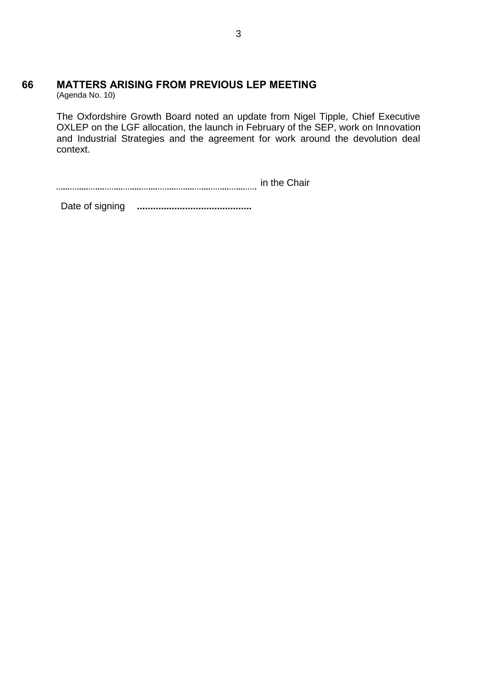# **66 MATTERS ARISING FROM PREVIOUS LEP MEETING**

(Agenda No. 10)

The Oxfordshire Growth Board noted an update from Nigel Tipple, Chief Executive OXLEP on the LGF allocation, the launch in February of the SEP, work on Innovation and Industrial Strategies and the agreement for work around the devolution deal context.

in the Chair

Date of signing **...........................................**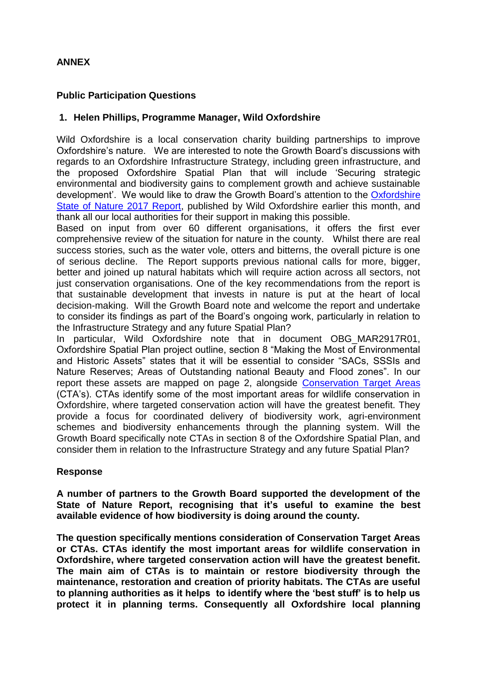### **ANNEX**

#### **Public Participation Questions**

#### **1. Helen Phillips, Programme Manager, Wild Oxfordshire**

Wild Oxfordshire is a local conservation charity building partnerships to improve Oxfordshire's nature. We are interested to note the Growth Board's discussions with regards to an Oxfordshire Infrastructure Strategy, including green infrastructure, and the proposed Oxfordshire Spatial Plan that will include 'Securing strategic environmental and biodiversity gains to complement growth and achieve sustainable development'. We would like to draw the Growth Board's attention to the Oxfordshire [State of Nature 2017 Report,](http://www.wildoxfordshire.org.uk/stateofnature/) published by Wild Oxfordshire earlier this month, and thank all our local authorities for their support in making this possible.

Based on input from over 60 different organisations, it offers the first ever comprehensive review of the situation for nature in the county. Whilst there are real success stories, such as the water vole, otters and bitterns, the overall picture is one of serious decline. The Report supports previous national calls for more, bigger, better and joined up natural habitats which will require action across all sectors, not just conservation organisations. One of the key recommendations from the report is that sustainable development that invests in nature is put at the heart of local decision-making. Will the Growth Board note and welcome the report and undertake to consider its findings as part of the Board's ongoing work, particularly in relation to the Infrastructure Strategy and any future Spatial Plan?

In particular, Wild Oxfordshire note that in document OBG\_MAR2917R01, Oxfordshire Spatial Plan project outline, section 8 "Making the Most of Environmental and Historic Assets" states that it will be essential to consider "SACs, SSSIs and Nature Reserves; Areas of Outstanding national Beauty and Flood zones". In our report these assets are mapped on page 2, alongside [Conservation Target Areas](http://www.wildoxfordshire.org.uk/biodiversity/conservation-target-areas/) (CTA's). CTAs identify some of the most important areas for wildlife conservation in Oxfordshire, where targeted conservation action will have the greatest benefit. They provide a focus for coordinated delivery of biodiversity work, agri-environment schemes and biodiversity enhancements through the planning system. Will the Growth Board specifically note CTAs in section 8 of the Oxfordshire Spatial Plan, and consider them in relation to the Infrastructure Strategy and any future Spatial Plan?

#### **Response**

**A number of partners to the Growth Board supported the development of the State of Nature Report, recognising that it's useful to examine the best available evidence of how biodiversity is doing around the county.** 

**The question specifically mentions consideration of Conservation Target Areas or CTAs. CTAs identify the most important areas for wildlife conservation in Oxfordshire, where targeted conservation action will have the greatest benefit. The main aim of CTAs is to maintain or restore biodiversity through the maintenance, restoration and creation of priority habitats. The CTAs are useful to planning authorities as it helps to identify where the 'best stuff' is to help us protect it in planning terms. Consequently all Oxfordshire local planning**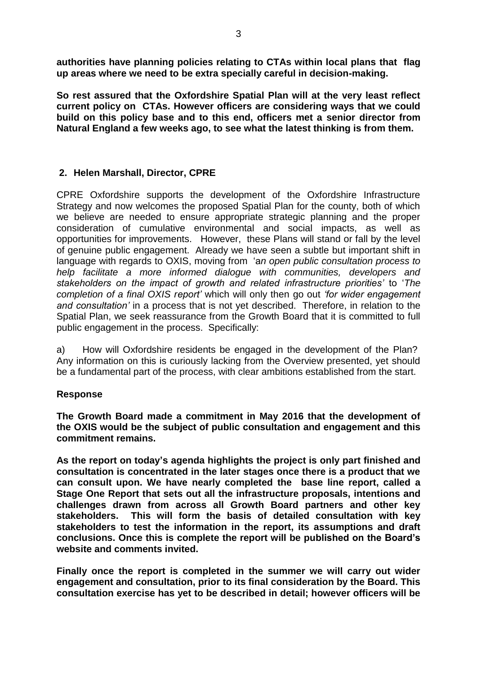**authorities have planning policies relating to CTAs within local plans that flag up areas where we need to be extra specially careful in decision-making.** 

**So rest assured that the Oxfordshire Spatial Plan will at the very least reflect current policy on CTAs. However officers are considering ways that we could build on this policy base and to this end, officers met a senior director from Natural England a few weeks ago, to see what the latest thinking is from them.**

#### **2. Helen Marshall, Director, CPRE**

CPRE Oxfordshire supports the development of the Oxfordshire Infrastructure Strategy and now welcomes the proposed Spatial Plan for the county, both of which we believe are needed to ensure appropriate strategic planning and the proper consideration of cumulative environmental and social impacts, as well as opportunities for improvements. However, these Plans will stand or fall by the level of genuine public engagement. Already we have seen a subtle but important shift in language with regards to OXIS, moving from 'a*n open public consultation process to help facilitate a more informed dialogue with communities, developers and stakeholders on the impact of growth and related infrastructure priorities'* to '*The completion of a final OXIS report'* which will only then go out *'for wider engagement and consultation'* in a process that is not yet described. Therefore, in relation to the Spatial Plan, we seek reassurance from the Growth Board that it is committed to full public engagement in the process. Specifically:

a) How will Oxfordshire residents be engaged in the development of the Plan? Any information on this is curiously lacking from the Overview presented, yet should be a fundamental part of the process, with clear ambitions established from the start.

#### **Response**

**The Growth Board made a commitment in May 2016 that the development of the OXIS would be the subject of public consultation and engagement and this commitment remains.**

**As the report on today's agenda highlights the project is only part finished and consultation is concentrated in the later stages once there is a product that we can consult upon. We have nearly completed the base line report, called a Stage One Report that sets out all the infrastructure proposals, intentions and challenges drawn from across all Growth Board partners and other key stakeholders. This will form the basis of detailed consultation with key stakeholders to test the information in the report, its assumptions and draft conclusions. Once this is complete the report will be published on the Board's website and comments invited.**

**Finally once the report is completed in the summer we will carry out wider engagement and consultation, prior to its final consideration by the Board. This consultation exercise has yet to be described in detail; however officers will be**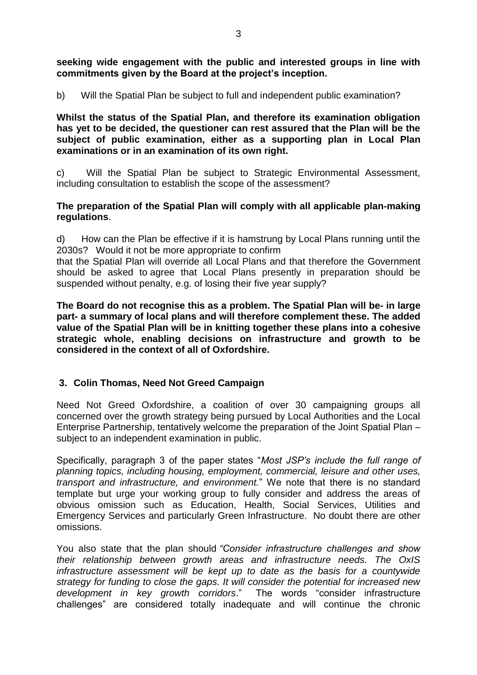**seeking wide engagement with the public and interested groups in line with commitments given by the Board at the project's inception.** 

b) Will the Spatial Plan be subject to full and independent public examination?

**Whilst the status of the Spatial Plan, and therefore its examination obligation has yet to be decided, the questioner can rest assured that the Plan will be the subject of public examination, either as a supporting plan in Local Plan examinations or in an examination of its own right.** 

c) Will the Spatial Plan be subject to Strategic Environmental Assessment, including consultation to establish the scope of the assessment?

#### **The preparation of the Spatial Plan will comply with all applicable plan-making regulations**.

d) How can the Plan be effective if it is hamstrung by Local Plans running until the 2030s? Would it not be more appropriate to confirm

that the Spatial Plan will override all Local Plans and that therefore the Government should be asked to agree that Local Plans presently in preparation should be suspended without penalty, e.g. of losing their five year supply?

**The Board do not recognise this as a problem. The Spatial Plan will be- in large part- a summary of local plans and will therefore complement these. The added value of the Spatial Plan will be in knitting together these plans into a cohesive strategic whole, enabling decisions on infrastructure and growth to be considered in the context of all of Oxfordshire.**

#### **3. Colin Thomas, Need Not Greed Campaign**

Need Not Greed Oxfordshire, a coalition of over 30 campaigning groups all concerned over the growth strategy being pursued by Local Authorities and the Local Enterprise Partnership, tentatively welcome the preparation of the Joint Spatial Plan – subject to an independent examination in public.

Specifically, paragraph 3 of the paper states "*Most JSP's include the full range of planning topics, including housing, employment, commercial, leisure and other uses, transport and infrastructure, and environment.*" We note that there is no standard template but urge your working group to fully consider and address the areas of obvious omission such as Education, Health, Social Services, Utilities and Emergency Services and particularly Green Infrastructure. No doubt there are other omissions.

You also state that the plan should *"Consider infrastructure challenges and show their relationship between growth areas and infrastructure needs. The OxIS infrastructure assessment will be kept up to date as the basis for a countywide strategy for funding to close the gaps. It will consider the potential for increased new development in key growth corridors*." The words "consider infrastructure challenges" are considered totally inadequate and will continue the chronic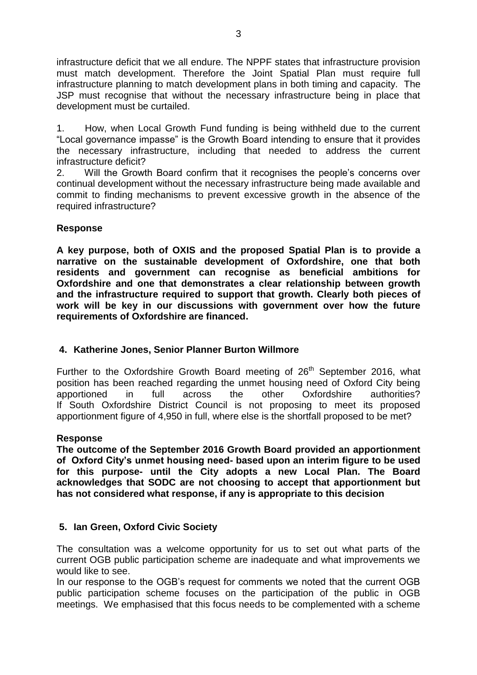infrastructure deficit that we all endure. The NPPF states that infrastructure provision must match development. Therefore the Joint Spatial Plan must require full infrastructure planning to match development plans in both timing and capacity. The JSP must recognise that without the necessary infrastructure being in place that development must be curtailed.

1. How, when Local Growth Fund funding is being withheld due to the current "Local governance impasse" is the Growth Board intending to ensure that it provides the necessary infrastructure, including that needed to address the current infrastructure deficit?

2. Will the Growth Board confirm that it recognises the people's concerns over continual development without the necessary infrastructure being made available and commit to finding mechanisms to prevent excessive growth in the absence of the required infrastructure?

#### **Response**

**A key purpose, both of OXIS and the proposed Spatial Plan is to provide a narrative on the sustainable development of Oxfordshire, one that both residents and government can recognise as beneficial ambitions for Oxfordshire and one that demonstrates a clear relationship between growth and the infrastructure required to support that growth. Clearly both pieces of work will be key in our discussions with government over how the future requirements of Oxfordshire are financed.** 

#### **4. Katherine Jones, Senior Planner Burton Willmore**

Further to the Oxfordshire Growth Board meeting of  $26<sup>th</sup>$  September 2016, what position has been reached regarding the unmet housing need of Oxford City being apportioned in full across the other Oxfordshire authorities? If South Oxfordshire District Council is not proposing to meet its proposed apportionment figure of 4,950 in full, where else is the shortfall proposed to be met?

#### **Response**

**The outcome of the September 2016 Growth Board provided an apportionment of Oxford City's unmet housing need- based upon an interim figure to be used for this purpose- until the City adopts a new Local Plan. The Board acknowledges that SODC are not choosing to accept that apportionment but has not considered what response, if any is appropriate to this decision**

#### **5. Ian Green, Oxford Civic Society**

The consultation was a welcome opportunity for us to set out what parts of the current OGB public participation scheme are inadequate and what improvements we would like to see.

In our response to the OGB's request for comments we noted that the current OGB public participation scheme focuses on the participation of the public in OGB meetings. We emphasised that this focus needs to be complemented with a scheme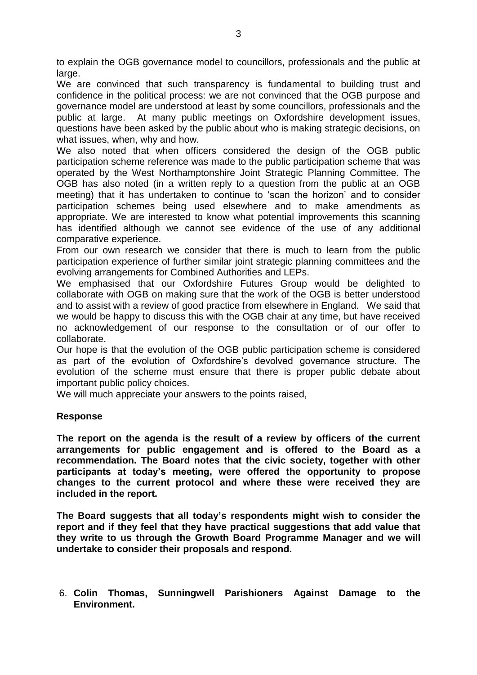to explain the OGB governance model to councillors, professionals and the public at large.

We are convinced that such transparency is fundamental to building trust and confidence in the political process: we are not convinced that the OGB purpose and governance model are understood at least by some councillors, professionals and the public at large. At many public meetings on Oxfordshire development issues, questions have been asked by the public about who is making strategic decisions, on what issues, when, why and how.

We also noted that when officers considered the design of the OGB public participation scheme reference was made to the public participation scheme that was operated by the West Northamptonshire Joint Strategic Planning Committee. The OGB has also noted (in a written reply to a question from the public at an OGB meeting) that it has undertaken to continue to 'scan the horizon' and to consider participation schemes being used elsewhere and to make amendments as appropriate. We are interested to know what potential improvements this scanning has identified although we cannot see evidence of the use of any additional comparative experience.

From our own research we consider that there is much to learn from the public participation experience of further similar joint strategic planning committees and the evolving arrangements for Combined Authorities and LEPs.

We emphasised that our Oxfordshire Futures Group would be delighted to collaborate with OGB on making sure that the work of the OGB is better understood and to assist with a review of good practice from elsewhere in England. We said that we would be happy to discuss this with the OGB chair at any time, but have received no acknowledgement of our response to the consultation or of our offer to collaborate.

Our hope is that the evolution of the OGB public participation scheme is considered as part of the evolution of Oxfordshire's devolved governance structure. The evolution of the scheme must ensure that there is proper public debate about important public policy choices.

We will much appreciate your answers to the points raised,

#### **Response**

**The report on the agenda is the result of a review by officers of the current arrangements for public engagement and is offered to the Board as a recommendation. The Board notes that the civic society, together with other participants at today's meeting, were offered the opportunity to propose changes to the current protocol and where these were received they are included in the report.**

**The Board suggests that all today's respondents might wish to consider the report and if they feel that they have practical suggestions that add value that they write to us through the Growth Board Programme Manager and we will undertake to consider their proposals and respond.**

6. **Colin Thomas, Sunningwell Parishioners Against Damage to the Environment.**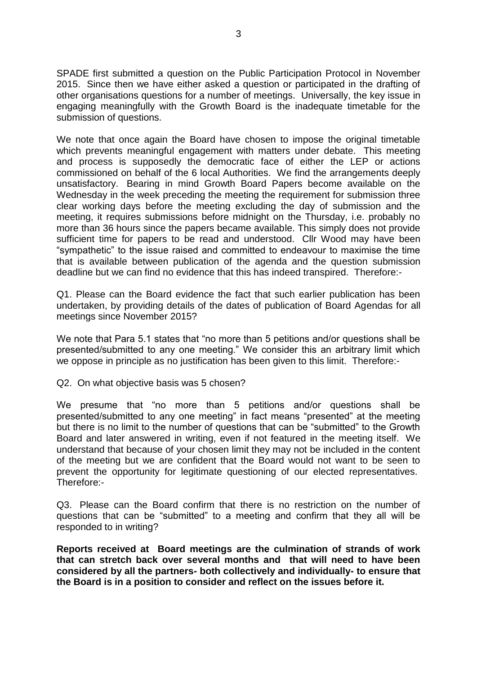SPADE first submitted a question on the Public Participation Protocol in November 2015. Since then we have either asked a question or participated in the drafting of other organisations questions for a number of meetings. Universally, the key issue in engaging meaningfully with the Growth Board is the inadequate timetable for the submission of questions.

We note that once again the Board have chosen to impose the original timetable which prevents meaningful engagement with matters under debate. This meeting and process is supposedly the democratic face of either the LEP or actions commissioned on behalf of the 6 local Authorities. We find the arrangements deeply unsatisfactory. Bearing in mind Growth Board Papers become available on the Wednesday in the week preceding the meeting the requirement for submission three clear working days before the meeting excluding the day of submission and the meeting, it requires submissions before midnight on the Thursday, i.e. probably no more than 36 hours since the papers became available. This simply does not provide sufficient time for papers to be read and understood. Cllr Wood may have been "sympathetic" to the issue raised and committed to endeavour to maximise the time that is available between publication of the agenda and the question submission deadline but we can find no evidence that this has indeed transpired. Therefore:-

Q1. Please can the Board evidence the fact that such earlier publication has been undertaken, by providing details of the dates of publication of Board Agendas for all meetings since November 2015?

We note that Para 5.1 states that "no more than 5 petitions and/or questions shall be presented/submitted to any one meeting." We consider this an arbitrary limit which we oppose in principle as no justification has been given to this limit. Therefore:-

Q2. On what objective basis was 5 chosen?

We presume that "no more than 5 petitions and/or questions shall be presented/submitted to any one meeting" in fact means "presented" at the meeting but there is no limit to the number of questions that can be "submitted" to the Growth Board and later answered in writing, even if not featured in the meeting itself. We understand that because of your chosen limit they may not be included in the content of the meeting but we are confident that the Board would not want to be seen to prevent the opportunity for legitimate questioning of our elected representatives. Therefore:-

Q3. Please can the Board confirm that there is no restriction on the number of questions that can be "submitted" to a meeting and confirm that they all will be responded to in writing?

**Reports received at Board meetings are the culmination of strands of work that can stretch back over several months and that will need to have been considered by all the partners- both collectively and individually- to ensure that the Board is in a position to consider and reflect on the issues before it.**